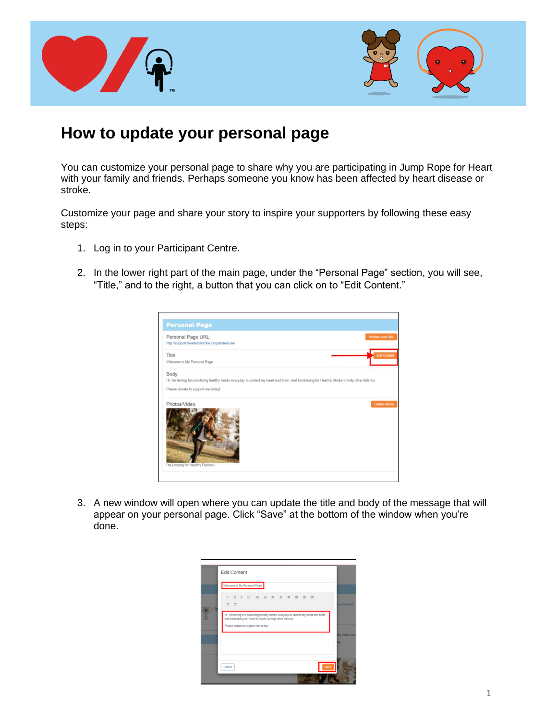



## **How to update your personal page**

You can customize your personal page to share why you are participating in Jump Rope for Heart with your family and friends. Perhaps someone you know has been affected by heart disease or stroke.

Customize your page and share your story to inspire your supporters by following these easy steps:

- 1. Log in to your Participant Centre.
- 2. In the lower right part of the main page, under the "Personal Page" section, you will see, "Title," and to the right, a button that you can click on to "Edit Content."

| Personal Page URL:                                                                                                                              |  | Shorten your URL    |
|-------------------------------------------------------------------------------------------------------------------------------------------------|--|---------------------|
| http://support.heartandstroke.ca/goto/testuser                                                                                                  |  |                     |
| Title                                                                                                                                           |  | Edit Content        |
| Welcome to My Personal Page                                                                                                                     |  |                     |
| Body                                                                                                                                            |  |                     |
| Hi, I'm having fun practicing healthy habits everyday to protect my heart and brain, and fundraising for Heart & Stroke to help other kids too. |  |                     |
| Please donate to support me today!                                                                                                              |  |                     |
| Photos/Video                                                                                                                                    |  | <b>Update Media</b> |
|                                                                                                                                                 |  |                     |
|                                                                                                                                                 |  |                     |
|                                                                                                                                                 |  |                     |
|                                                                                                                                                 |  |                     |
|                                                                                                                                                 |  |                     |
|                                                                                                                                                 |  |                     |
|                                                                                                                                                 |  |                     |
|                                                                                                                                                 |  |                     |

3. A new window will open where you can update the title and body of the message that will appear on your personal page. Click "Save" at the bottom of the window when you're done.

| <b>Edit Content</b>                                                                                                                                                                      |                         |
|------------------------------------------------------------------------------------------------------------------------------------------------------------------------------------------|-------------------------|
| Welcome to My Personal Page                                                                                                                                                              |                         |
| P<br>C                                                                                                                                                                                   | poto/testuser           |
| Hi, I'm having fun practicing healthy habits everyday to protect my heart and brain,<br>and fundraising for Heart & Stroke to help other kids too.<br>Please donate to support me today! |                         |
|                                                                                                                                                                                          | thy habits ever<br>lavl |
| Save<br>Cancel                                                                                                                                                                           |                         |
|                                                                                                                                                                                          |                         |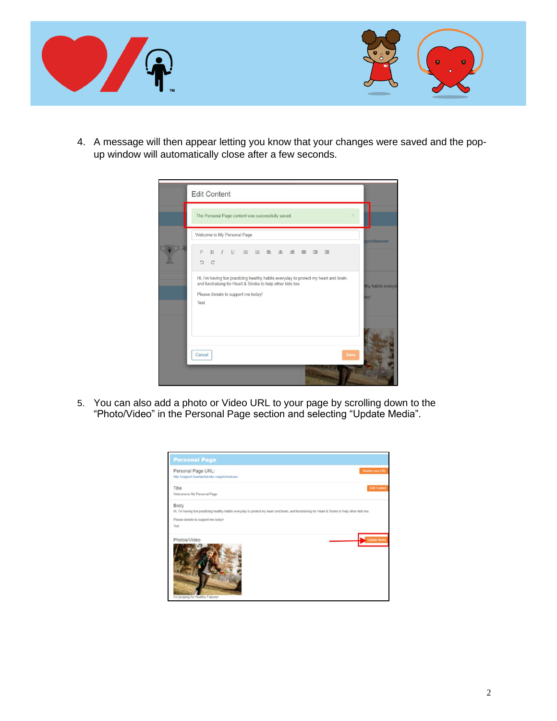

4. A message will then appear letting you know that your changes were saved and the popup window will automatically close after a few seconds.



5. You can also add a photo or Video URL to your page by scrolling down to the "Photo/Video" in the Personal Page section and selecting "Update Media".

| Personal Page URL:                                                                                                                              | Shorten your URL    |
|-------------------------------------------------------------------------------------------------------------------------------------------------|---------------------|
| http://support.heartandstroke.ca/goto/testuser                                                                                                  |                     |
| Title                                                                                                                                           | <b>Edit Content</b> |
| Welcome to My Personal Page                                                                                                                     |                     |
| Body                                                                                                                                            |                     |
| Hi, I'm having fun practicing healthy habits everyday to protect my heart and brain, and fundraising for Heart & Stroke to help other kids too. |                     |
| Please donate to support me today!                                                                                                              |                     |
| Test                                                                                                                                            |                     |
| Photos/Video                                                                                                                                    | <b>Update Media</b> |
|                                                                                                                                                 |                     |
|                                                                                                                                                 |                     |
|                                                                                                                                                 |                     |
|                                                                                                                                                 |                     |
|                                                                                                                                                 |                     |
|                                                                                                                                                 |                     |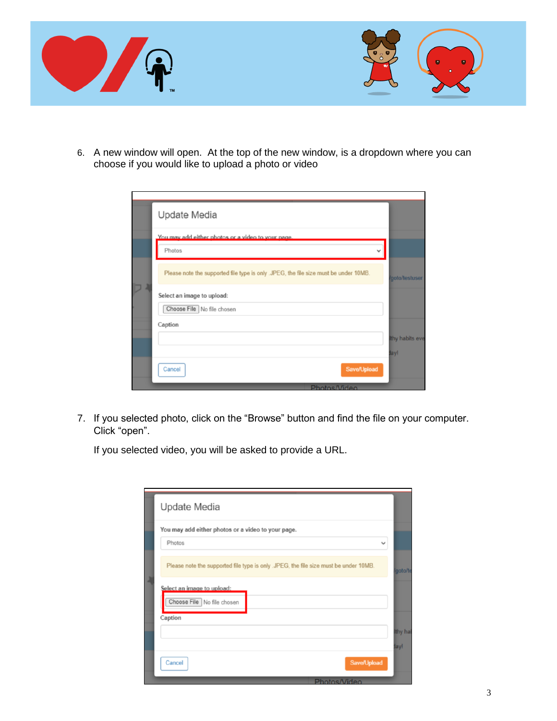

6. A new window will open. At the top of the new window, is a dropdown where you can choose if you would like to upload a photo or video

| Update Media                                                                         |                 |
|--------------------------------------------------------------------------------------|-----------------|
| You may add either photos or a video to your page.                                   |                 |
| Photos                                                                               |                 |
| Please note the supported file type is only .JPEG, the file size must be under 10MB. | goto/testuser   |
| Select an image to upload:                                                           |                 |
| Choose File No file chosen                                                           |                 |
| Caption                                                                              |                 |
|                                                                                      | Ithy habits eve |
|                                                                                      | lay!            |
| <b>Save/Upload</b><br>Cancel                                                         |                 |
| Photos/Video                                                                         |                 |

7. If you selected photo, click on the "Browse" button and find the file on your computer. Click "open".

If you selected video, you will be asked to provide a URL.

| Update Media                                                                         |              |
|--------------------------------------------------------------------------------------|--------------|
| You may add either photos or a video to your page.                                   |              |
| Photos                                                                               | $\checkmark$ |
| Please note the supported file type is only .JPEG, the file size must be under 10MB. | goto/te      |
| Select an image to upload:<br>Choose File No file chosen                             |              |
| Caption                                                                              |              |
|                                                                                      | thy hal      |
|                                                                                      | lay!         |
| <b>Save/Upload</b><br>Cancel                                                         |              |
| Photos/Video                                                                         |              |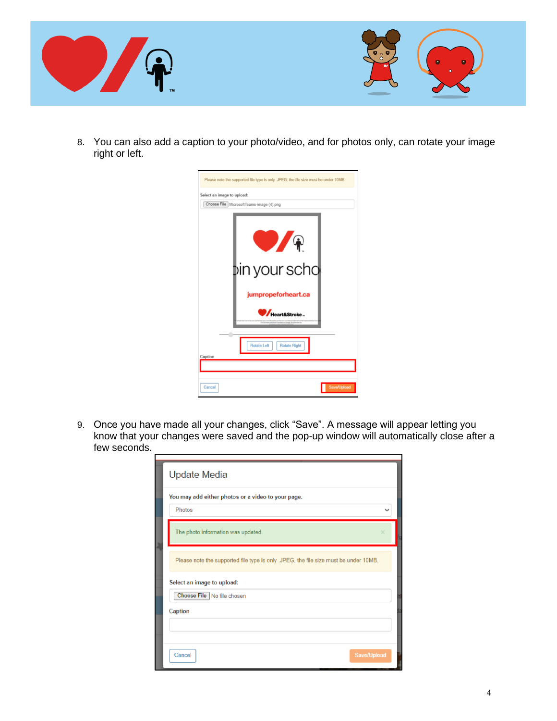

8. You can also add a caption to your photo/video, and for photos only, can rotate your image right or left.

| Please note the supported file type is only .JPEG, the file size must be under 10MB. |
|--------------------------------------------------------------------------------------|
| Select an image to upload:                                                           |
| Choose File MicrosoftTeams-image (4).png                                             |
| <b>b</b> in your scho                                                                |
| jumpropeforheart.ca                                                                  |
| Heart&Stroke_                                                                        |
| Rotate Left<br><b>Rotate Right</b><br>Caption                                        |
|                                                                                      |
| Save/Upload<br>Cancel                                                                |

9. Once you have made all your changes, click "Save". A message will appear letting you know that your changes were saved and the pop-up window will automatically close after a few seconds.

| <b>Update Media</b>                                                                  |             |
|--------------------------------------------------------------------------------------|-------------|
| You may add either photos or a video to your page.                                   |             |
| Photos                                                                               |             |
| The photo information was updated.                                                   |             |
| Please note the supported file type is only .JPEG, the file size must be under 10MB. |             |
| Select an image to upload:                                                           |             |
| Choose File No file chosen                                                           |             |
| Caption                                                                              |             |
|                                                                                      |             |
|                                                                                      |             |
| Cancel                                                                               | Save/Upload |